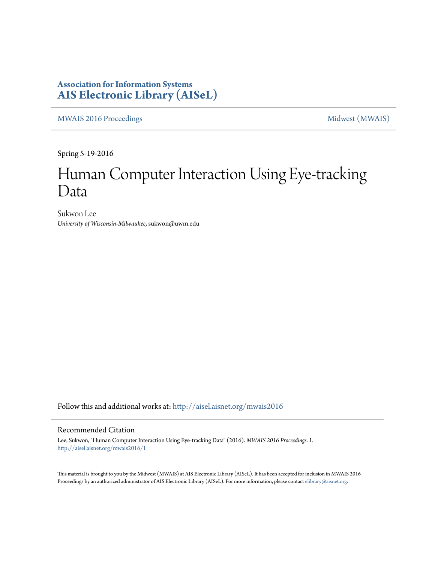### **Association for Information Systems [AIS Electronic Library \(AISeL\)](http://aisel.aisnet.org?utm_source=aisel.aisnet.org%2Fmwais2016%2F1&utm_medium=PDF&utm_campaign=PDFCoverPages)**

[MWAIS 2016 Proceedings](http://aisel.aisnet.org/mwais2016?utm_source=aisel.aisnet.org%2Fmwais2016%2F1&utm_medium=PDF&utm_campaign=PDFCoverPages) and the [Midwest \(MWAIS\)](http://aisel.aisnet.org/mwais?utm_source=aisel.aisnet.org%2Fmwais2016%2F1&utm_medium=PDF&utm_campaign=PDFCoverPages)

Spring 5-19-2016

# Human Computer Interaction Using Eye-tracking Data

Sukwon Lee *University of Wisconsin-Milwaukee*, sukwon@uwm.edu

Follow this and additional works at: [http://aisel.aisnet.org/mwais2016](http://aisel.aisnet.org/mwais2016?utm_source=aisel.aisnet.org%2Fmwais2016%2F1&utm_medium=PDF&utm_campaign=PDFCoverPages)

#### Recommended Citation

Lee, Sukwon, "Human Computer Interaction Using Eye-tracking Data" (2016). *MWAIS 2016 Proceedings*. 1. [http://aisel.aisnet.org/mwais2016/1](http://aisel.aisnet.org/mwais2016/1?utm_source=aisel.aisnet.org%2Fmwais2016%2F1&utm_medium=PDF&utm_campaign=PDFCoverPages)

This material is brought to you by the Midwest (MWAIS) at AIS Electronic Library (AISeL). It has been accepted for inclusion in MWAIS 2016 Proceedings by an authorized administrator of AIS Electronic Library (AISeL). For more information, please contact [elibrary@aisnet.org](mailto:elibrary@aisnet.org%3E).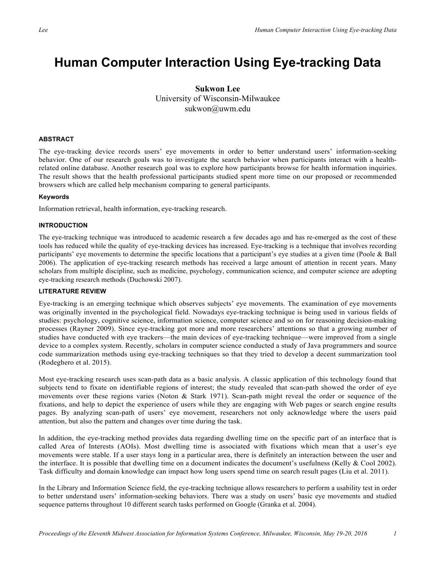## **Human Computer Interaction Using Eye-tracking Data**

#### **Sukwon Lee** University of Wisconsin-Milwaukee sukwon@uwm.edu

#### **ABSTRACT**

The eye-tracking device records users' eye movements in order to better understand users' information-seeking behavior. One of our research goals was to investigate the search behavior when participants interact with a healthrelated online database. Another research goal was to explore how participants browse for health information inquiries. The result shows that the health professional participants studied spent more time on our proposed or recommended browsers which are called help mechanism comparing to general participants.

#### **Keywords**

Information retrieval, health information, eye-tracking research.

#### **INTRODUCTION**

The eye-tracking technique was introduced to academic research a few decades ago and has re-emerged as the cost of these tools has reduced while the quality of eye-tracking devices has increased. Eye-tracking is a technique that involves recording participants' eye movements to determine the specific locations that a participant's eye studies at a given time (Poole & Ball 2006). The application of eye-tracking research methods has received a large amount of attention in recent years. Many scholars from multiple discipline, such as medicine, psychology, communication science, and computer science are adopting eye-tracking research methods (Duchowski 2007).

#### **LITERATURE REVIEW**

Eye-tracking is an emerging technique which observes subjects' eye movements. The examination of eye movements was originally invented in the psychological field. Nowadays eye-tracking technique is being used in various fields of studies: psychology, cognitive science, information science, computer science and so on for reasoning decision-making processes (Rayner 2009). Since eye-tracking got more and more researchers' attentions so that a growing number of studies have conducted with eye trackers—the main devices of eye-tracking technique—were improved from a single device to a complex system. Recently, scholars in computer science conducted a study of Java programmers and source code summarization methods using eye-tracking techniques so that they tried to develop a decent summarization tool (Rodeghero et al. 2015).

Most eye-tracking research uses scan-path data as a basic analysis. A classic application of this technology found that subjects tend to fixate on identifiable regions of interest; the study revealed that scan-path showed the order of eye movements over these regions varies (Noton & Stark 1971). Scan-path might reveal the order or sequence of the fixations, and help to depict the experience of users while they are engaging with Web pages or search engine results pages. By analyzing scan-path of users' eye movement, researchers not only acknowledge where the users paid attention, but also the pattern and changes over time during the task.

In addition, the eye-tracking method provides data regarding dwelling time on the specific part of an interface that is called Area of Interests (AOIs). Most dwelling time is associated with fixations which mean that a user's eye movements were stable. If a user stays long in a particular area, there is definitely an interaction between the user and the interface. It is possible that dwelling time on a document indicates the document's usefulness (Kelly & Cool 2002). Task difficulty and domain knowledge can impact how long users spend time on search result pages (Liu et al. 2011).

In the Library and Information Science field, the eye-tracking technique allows researchers to perform a usability test in order to better understand users' information-seeking behaviors. There was a study on users' basic eye movements and studied sequence patterns throughout 10 different search tasks performed on Google (Granka et al. 2004).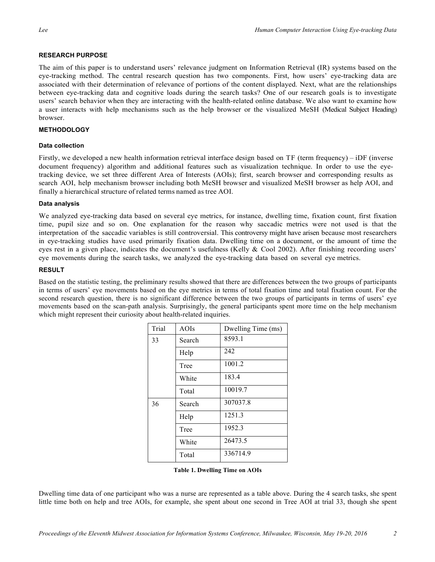#### **RESEARCH PURPOSE**

The aim of this paper is to understand users' relevance judgment on Information Retrieval (IR) systems based on the eye-tracking method. The central research question has two components. First, how users' eye-tracking data are associated with their determination of relevance of portions of the content displayed. Next, what are the relationships between eye-tracking data and cognitive loads during the search tasks? One of our research goals is to investigate users' search behavior when they are interacting with the health-related online database. We also want to examine how a user interacts with help mechanisms such as the help browser or the visualized MeSH (Medical Subject Heading) browser.

#### **METHODOLOGY**

#### **Data collection**

Firstly, we developed a new health information retrieval interface design based on TF (term frequency) – iDF (inverse document frequency) algorithm and additional features such as visualization technique. In order to use the eyetracking device, we set three different Area of Interests (AOIs); first, search browser and corresponding results as search AOI, help mechanism browser including both MeSH browser and visualized MeSH browser as help AOI, and finally a hierarchical structure of related terms named as tree AOI.

#### **Data analysis**

We analyzed eye-tracking data based on several eye metrics, for instance, dwelling time, fixation count, first fixation time, pupil size and so on. One explanation for the reason why saccadic metrics were not used is that the interpretation of the saccadic variables is still controversial. This controversy might have arisen because most researchers in eye-tracking studies have used primarily fixation data. Dwelling time on a document, or the amount of time the eyes rest in a given place, indicates the document's usefulness (Kelly & Cool 2002). After finishing recording users' eye movements during the search tasks, we analyzed the eye-tracking data based on several eye metrics.

#### **RESULT**

Based on the statistic testing, the preliminary results showed that there are differences between the two groups of participants in terms of users' eye movements based on the eye metrics in terms of total fixation time and total fixation count. For the second research question, there is no significant difference between the two groups of participants in terms of users' eye movements based on the scan-path analysis. Surprisingly, the general participants spent more time on the help mechanism which might represent their curiosity about health-related inquiries.

| Trial | AOIs   | Dwelling Time (ms) |
|-------|--------|--------------------|
| 33    | Search | 8593.1             |
|       | Help   | 242                |
|       | Tree   | 1001.2             |
|       | White  | 183.4              |
|       | Total  | 10019.7            |
| 36    | Search | 307037.8           |
|       | Help   | 1251.3             |
|       | Tree   | 1952.3             |
|       | White  | 26473.5            |
|       | Total  | 336714.9           |

**Table 1. Dwelling Time on AOIs** 

Dwelling time data of one participant who was a nurse are represented as a table above. During the 4 search tasks, she spent little time both on help and tree AOIs, for example, she spent about one second in Tree AOI at trial 33, though she spent